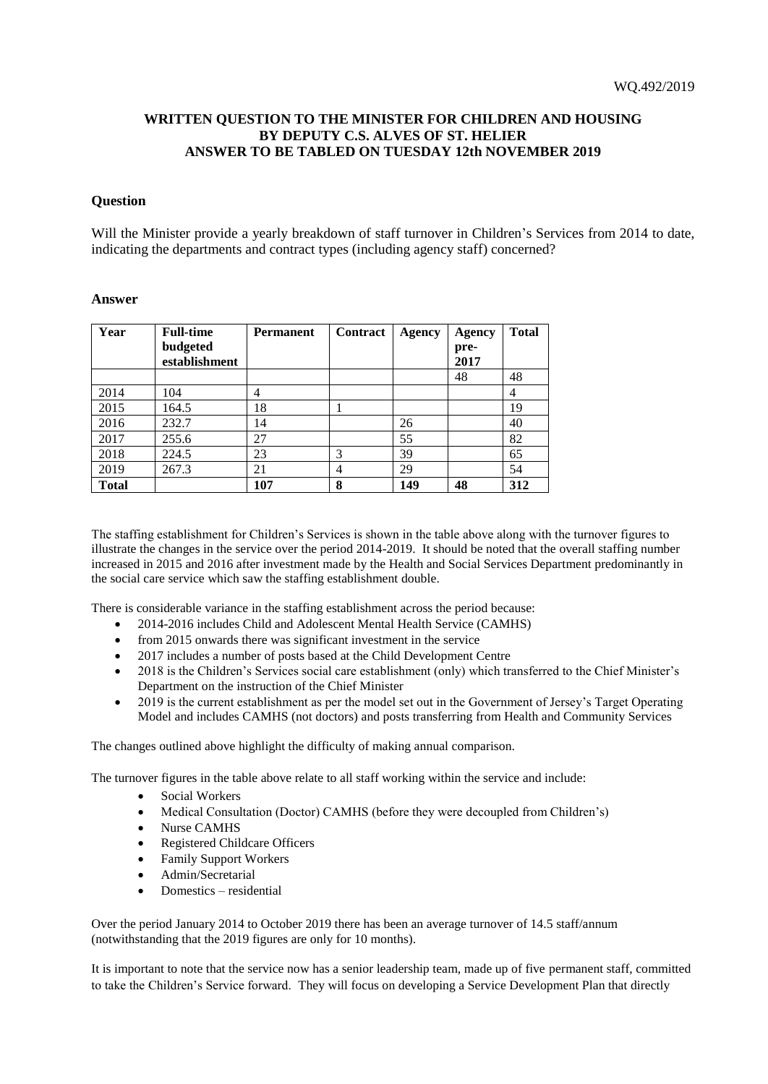## **WRITTEN QUESTION TO THE MINISTER FOR CHILDREN AND HOUSING BY DEPUTY C.S. ALVES OF ST. HELIER ANSWER TO BE TABLED ON TUESDAY 12th NOVEMBER 2019**

## **Question**

Will the Minister provide a yearly breakdown of staff turnover in Children's Services from 2014 to date, indicating the departments and contract types (including agency staff) concerned?

## **Answer**

| Year         | <b>Full-time</b> | <b>Permanent</b> | Contract       | Agency | Agency | <b>Total</b> |
|--------------|------------------|------------------|----------------|--------|--------|--------------|
|              | budgeted         |                  |                |        | pre-   |              |
|              | establishment    |                  |                |        | 2017   |              |
|              |                  |                  |                |        | 48     | 48           |
| 2014         | 104              | 4                |                |        |        | 4            |
| 2015         | 164.5            | 18               |                |        |        | 19           |
| 2016         | 232.7            | 14               |                | 26     |        | 40           |
| 2017         | 255.6            | 27               |                | 55     |        | 82           |
| 2018         | 224.5            | 23               | 3              | 39     |        | 65           |
| 2019         | 267.3            | 21               | $\overline{4}$ | 29     |        | 54           |
| <b>Total</b> |                  | 107              | 8              | 149    | 48     | 312          |

The staffing establishment for Children's Services is shown in the table above along with the turnover figures to illustrate the changes in the service over the period 2014-2019. It should be noted that the overall staffing number increased in 2015 and 2016 after investment made by the Health and Social Services Department predominantly in the social care service which saw the staffing establishment double.

There is considerable variance in the staffing establishment across the period because:

- 2014-2016 includes Child and Adolescent Mental Health Service (CAMHS)
- from 2015 onwards there was significant investment in the service
- 2017 includes a number of posts based at the Child Development Centre
- 2018 is the Children's Services social care establishment (only) which transferred to the Chief Minister's Department on the instruction of the Chief Minister
- 2019 is the current establishment as per the model set out in the Government of Jersey's Target Operating Model and includes CAMHS (not doctors) and posts transferring from Health and Community Services

The changes outlined above highlight the difficulty of making annual comparison.

The turnover figures in the table above relate to all staff working within the service and include:

- Social Workers
- Medical Consultation (Doctor) CAMHS (before they were decoupled from Children's)
- Nurse CAMHS
- Registered Childcare Officers
- Family Support Workers
- Admin/Secretarial
- Domestics residential

Over the period January 2014 to October 2019 there has been an average turnover of 14.5 staff/annum (notwithstanding that the 2019 figures are only for 10 months).

It is important to note that the service now has a senior leadership team, made up of five permanent staff, committed to take the Children's Service forward. They will focus on developing a Service Development Plan that directly